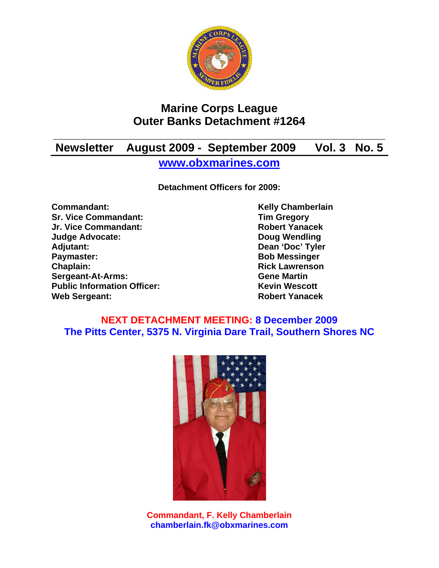

## **Marine Corps League Outer Banks Detachment #1264**

# **\_\_\_\_\_\_\_\_\_\_\_\_\_\_\_\_\_\_\_\_\_\_\_\_\_\_\_\_\_\_\_\_\_\_\_\_\_\_\_\_\_\_\_\_\_\_\_\_\_\_\_\_ Newsletter August 2009 - September 2009 Vol. 3 No. 5**

**www.obxmarines.com**

**Detachment Officers for 2009:** 

**Commandant:** Kelly Chamberlain **Sr. Vice Commandant:** Tim Gregory<br>
Jr. Vice Commandant: The School of The Robert Yanacek **Jr. Vice Commandant: Judge Advocate: Doug Wendling**  Adjutant: Dean 'Doc' Tyler **Paymaster:** Bob Messinger **Chaplain: Chaplain: Rick Lawrenson Sergeant-At-Arms: Gene Martin Public Information Officer:** Kevin Wescott **Web Sergeant: Robert Yanacek** 

### **NEXT DETACHMENT MEETING: 8 December 2009 The Pitts Center, 5375 N. Virginia Dare Trail, Southern Shores NC**



**Commandant, F. Kelly Chamberlain chamberlain.fk@obxmarines.com**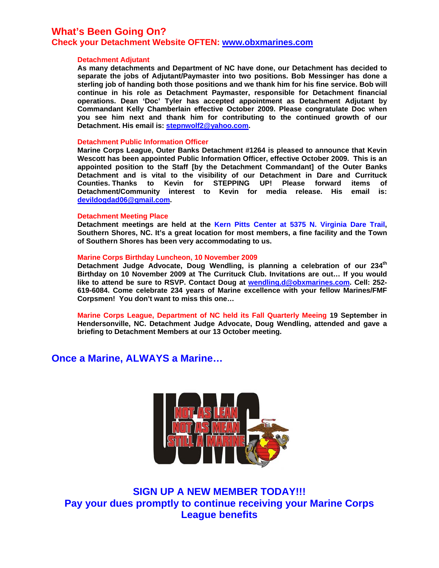### **What's Been Going On?**

#### **Check your Detachment Website OFTEN: www.obxmarines.com**

#### **Detachment Adjutant**

**As many detachments and Department of NC have done, our Detachment has decided to separate the jobs of Adjutant/Paymaster into two positions. Bob Messinger has done a sterling job of handing both those positions and we thank him for his fine service. Bob will continue in his role as Detachment Paymaster, responsible for Detachment financial operations. Dean 'Doc' Tyler has accepted appointment as Detachment Adjutant by Commandant Kelly Chamberlain effective October 2009. Please congratulate Doc when you see him next and thank him for contributing to the continued growth of our Detachment. His email is: stepnwolf2@yahoo.com.** 

#### **Detachment Public Information Officer**

**Marine Corps League, Outer Banks Detachment #1264 is pleased to announce that Kevin Wescott has been appointed Public Information Officer, effective October 2009. This is an appointed position to the Staff [by the Detachment Commandant] of the Outer Banks Detachment and is vital to the visibility of our Detachment in Dare and Currituck Counties. Thanks to Kevin for STEPPING UP! Please forward items of Detachment/Community interest to Kevin for media release. His email is: devildogdad06@gmail.com.** 

#### **Detachment Meeting Place**

**Detachment meetings are held at the Kern Pitts Center at 5375 N. Virginia Dare Trail, Southern Shores, NC. It's a great location for most members, a fine facility and the Town of Southern Shores has been very accommodating to us.** 

#### **Marine Corps Birthday Luncheon, 10 November 2009**

Detachment Judge Advocate, Doug Wendling, is planning a celebration of our 234<sup>th</sup> **Birthday on 10 November 2009 at The Currituck Club. Invitations are out… If you would like to attend be sure to RSVP. Contact Doug at wendling.d@obxmarines.com. Cell: 252- 619-6084. Come celebrate 234 years of Marine excellence with your fellow Marines/FMF Corpsmen! You don't want to miss this one…** 

**Marine Corps League, Department of NC held its Fall Quarterly Meeing 19 September in Hendersonville, NC. Detachment Judge Advocate, Doug Wendling, attended and gave a briefing to Detachment Members at our 13 October meeting.** 

### **Once a Marine, ALWAYS a Marine…**



**SIGN UP A NEW MEMBER TODAY!!! Pay your dues promptly to continue receiving your Marine Corps League benefits**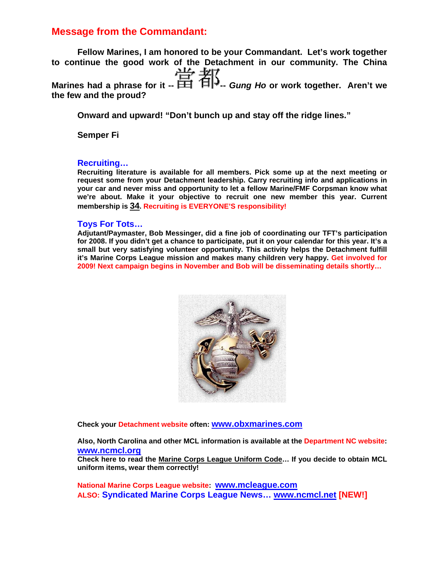### **Message from the Commandant:**

**Fellow Marines, I am honored to be your Commandant. Let's work together to continue the good work of the Detachment in our community. The China**  Marines had a phrase for it --  $\frac{11}{11}$   $\frac{11}{11}$  *Gung Ho* or work together. Aren't we **the few and the proud?** 

**Onward and upward! "Don't bunch up and stay off the ridge lines."** 

**Semper Fi** 

#### **Recruiting…**

**Recruiting literature is available for all members. Pick some up at the next meeting or request some from your Detachment leadership. Carry recruiting info and applications in your car and never miss and opportunity to let a fellow Marine/FMF Corpsman know what we're about. Make it your objective to recruit one new member this year. Current membership is 34. Recruiting is EVERYONE'S responsibility!**

#### **Toys For Tots…**

**Adjutant/Paymaster, Bob Messinger, did a fine job of coordinating our TFT's participation for 2008. If you didn't get a chance to participate, put it on your calendar for this year. It's a small but very satisfying volunteer opportunity. This activity helps the Detachment fulfill it's Marine Corps League mission and makes many children very happy. Get involved for 2009! Next campaign begins in November and Bob will be disseminating details shortly…**



**Check your Detachment website often: www.obxmarines.com**

**Also, North Carolina and other MCL information is available at the Department NC website: www.ncmcl.org**

**Check here to read the Marine Corps League Uniform Code… If you decide to obtain MCL uniform items, wear them correctly!** 

**National Marine Corps League website: www.mcleague.com ALSO: Syndicated Marine Corps League News… www.ncmcl.net [NEW!]**